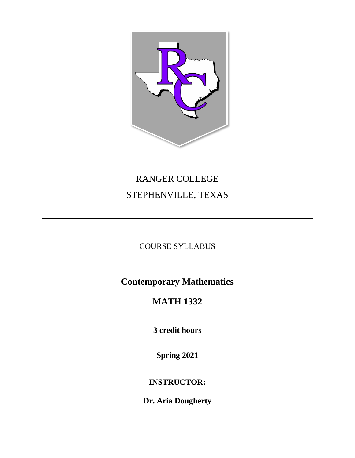

# RANGER COLLEGE STEPHENVILLE, TEXAS

## COURSE SYLLABUS

# **Contemporary Mathematics**

# **MATH 1332**

**3 credit hours**

**Spring 2021**

## **INSTRUCTOR:**

**Dr. Aria Dougherty**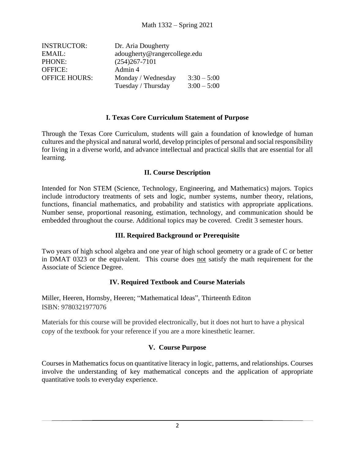| <b>INSTRUCTOR:</b>   | Dr. Aria Dougherty |                              |  |
|----------------------|--------------------|------------------------------|--|
| EMAIL:               |                    | adougherty@rangercollege.edu |  |
| PHONE:               | $(254)267 - 7101$  |                              |  |
| <b>OFFICE:</b>       | Admin 4            |                              |  |
| <b>OFFICE HOURS:</b> | Monday / Wednesday | $3:30 - 5:00$                |  |
|                      | Tuesday / Thursday | $3:00 - 5:00$                |  |

#### **I. Texas Core Curriculum Statement of Purpose**

Through the Texas Core Curriculum, students will gain a foundation of knowledge of human cultures and the physical and natural world, develop principles of personal and social responsibility for living in a diverse world, and advance intellectual and practical skills that are essential for all learning.

#### **II. Course Description**

Intended for Non STEM (Science, Technology, Engineering, and Mathematics) majors. Topics include introductory treatments of sets and logic, number systems, number theory, relations, functions, financial mathematics, and probability and statistics with appropriate applications. Number sense, proportional reasoning, estimation, technology, and communication should be embedded throughout the course. Additional topics may be covered. Credit 3 semester hours.

#### **III. Required Background or Prerequisite**

Two years of high school algebra and one year of high school geometry or a grade of C or better in DMAT 0323 or the equivalent. This course does not satisfy the math requirement for the Associate of Science Degree.

#### **IV. Required Textbook and Course Materials**

Miller, Heeren, Hornsby, Heeren; "Mathematical Ideas", Thirteenth Editon ISBN: 9780321977076

Materials for this course will be provided electronically, but it does not hurt to have a physical copy of the textbook for your reference if you are a more kinesthetic learner.

#### **V. Course Purpose**

Courses in Mathematics focus on quantitative literacy in logic, patterns, and relationships. Courses involve the understanding of key mathematical concepts and the application of appropriate quantitative tools to everyday experience.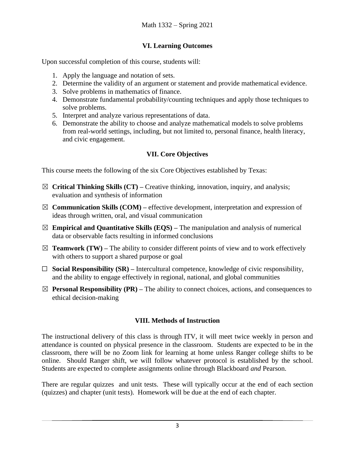### **VI. Learning Outcomes**

Upon successful completion of this course, students will:

- 1. Apply the language and notation of sets.
- 2. Determine the validity of an argument or statement and provide mathematical evidence.
- 3. Solve problems in mathematics of finance.
- 4. Demonstrate fundamental probability/counting techniques and apply those techniques to solve problems.
- 5. Interpret and analyze various representations of data.
- 6. Demonstrate the ability to choose and analyze mathematical models to solve problems from real-world settings, including, but not limited to, personal finance, health literacy, and civic engagement.

### **VII. Core Objectives**

This course meets the following of the six Core Objectives established by Texas:

- ☒ **Critical Thinking Skills (CT) –** Creative thinking, innovation, inquiry, and analysis; evaluation and synthesis of information
- $\boxtimes$  **Communication Skills (COM)** effective development, interpretation and expression of ideas through written, oral, and visual communication
- $\boxtimes$  **Empirical and Quantitative Skills (EQS)** The manipulation and analysis of numerical data or observable facts resulting in informed conclusions
- $\boxtimes$  **Teamwork (TW)** The ability to consider different points of view and to work effectively with others to support a shared purpose or goal
- $\Box$  **Social Responsibility (SR)** Intercultural competence, knowledge of civic responsibility, and the ability to engage effectively in regional, national, and global communities
- $\boxtimes$  **Personal Responsibility (PR)** The ability to connect choices, actions, and consequences to ethical decision-making

### **VIII. Methods of Instruction**

The instructional delivery of this class is through ITV, it will meet twice weekly in person and attendance is counted on physical presence in the classroom. Students are expected to be in the classroom, there will be no Zoom link for learning at home unless Ranger college shifts to be online. Should Ranger shift, we will follow whatever protocol is established by the school. Students are expected to complete assignments online through Blackboard *and* Pearson.

There are regular quizzes and unit tests. These will typically occur at the end of each section (quizzes) and chapter (unit tests). Homework will be due at the end of each chapter.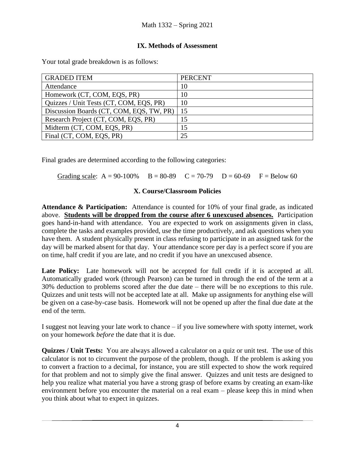#### **IX. Methods of Assessment**

Your total grade breakdown is as follows:

| <b>GRADED ITEM</b>                       | <b>PERCENT</b> |
|------------------------------------------|----------------|
| Attendance                               | 10             |
| Homework (CT, COM, EQS, PR)              | 10             |
| Quizzes / Unit Tests (CT, COM, EQS, PR)  | 10             |
| Discussion Boards (CT, COM, EQS, TW, PR) | 15             |
| Research Project (CT, COM, EQS, PR)      |                |
| Midterm (CT, COM, EQS, PR)               | 15             |
| Final (CT, COM, EQS, PR)                 | 25             |

Final grades are determined according to the following categories:

Grading scale:  $A = 90-100\%$   $B = 80-89$   $C = 70-79$   $D = 60-69$   $F = Below 60$ 

#### **X. Course/Classroom Policies**

**Attendance & Participation:** Attendance is counted for 10% of your final grade, as indicated above. **Students will be dropped from the course after 6 unexcused absences.** Participation goes hand-in-hand with attendance. You are expected to work on assignments given in class, complete the tasks and examples provided, use the time productively, and ask questions when you have them. A student physically present in class refusing to participate in an assigned task for the day will be marked absent for that day. Your attendance score per day is a perfect score if you are on time, half credit if you are late, and no credit if you have an unexcused absence.

Late Policy: Late homework will not be accepted for full credit if it is accepted at all. Automatically graded work (through Pearson) can be turned in through the end of the term at a 30% deduction to problems scored after the due date – there will be no exceptions to this rule. Quizzes and unit tests will not be accepted late at all. Make up assignments for anything else will be given on a case-by-case basis. Homework will not be opened up after the final due date at the end of the term.

I suggest not leaving your late work to chance – if you live somewhere with spotty internet, work on your homework *before* the date that it is due.

**Quizzes / Unit Tests:** You are always allowed a calculator on a quiz or unit test. The use of this calculator is not to circumvent the purpose of the problem, though. If the problem is asking you to convert a fraction to a decimal, for instance, you are still expected to show the work required for that problem and not to simply give the final answer. Quizzes and unit tests are designed to help you realize what material you have a strong grasp of before exams by creating an exam-like environment before you encounter the material on a real exam – please keep this in mind when you think about what to expect in quizzes.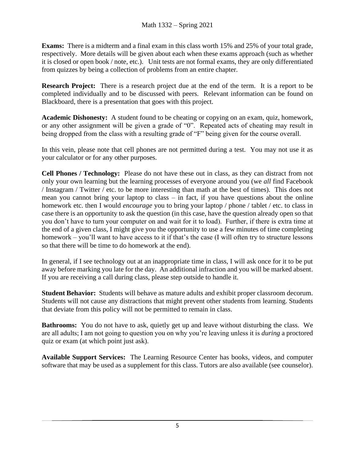**Exams:** There is a midterm and a final exam in this class worth 15% and 25% of your total grade, respectively. More details will be given about each when these exams approach (such as whether it is closed or open book / note, etc.). Unit tests are not formal exams, they are only differentiated from quizzes by being a collection of problems from an entire chapter.

**Research Project:** There is a research project due at the end of the term. It is a report to be completed individually and to be discussed with peers. Relevant information can be found on Blackboard, there is a presentation that goes with this project.

**Academic Dishonesty:** A student found to be cheating or copying on an exam, quiz, homework, or any other assignment will be given a grade of "0". Repeated acts of cheating may result in being dropped from the class with a resulting grade of "F" being given for the course overall.

In this vein, please note that cell phones are not permitted during a test. You may not use it as your calculator or for any other purposes.

**Cell Phones / Technology:** Please do not have these out in class, as they can distract from not only your own learning but the learning processes of everyone around you (we *all* find Facebook / Instagram / Twitter / etc. to be more interesting than math at the best of times). This does not mean you cannot bring your laptop to class – in fact, if you have questions about the online homework etc. then I would *encourage* you to bring your laptop / phone / tablet / etc. to class in case there is an opportunity to ask the question (in this case, have the question already open so that you don't have to turn your computer on and wait for it to load). Further, if there is extra time at the end of a given class, I might give you the opportunity to use a few minutes of time completing homework – you'll want to have access to it if that's the case (I will often try to structure lessons so that there will be time to do homework at the end).

In general, if I see technology out at an inappropriate time in class, I will ask once for it to be put away before marking you late for the day. An additional infraction and you will be marked absent. If you are receiving a call during class, please step outside to handle it.

**Student Behavior:** Students will behave as mature adults and exhibit proper classroom decorum. Students will not cause any distractions that might prevent other students from learning. Students that deviate from this policy will not be permitted to remain in class.

**Bathrooms:** You do not have to ask, quietly get up and leave without disturbing the class. We are all adults; I am not going to question you on why you're leaving unless it is *during* a proctored quiz or exam (at which point just ask).

**Available Support Services:** The Learning Resource Center has books, videos, and computer software that may be used as a supplement for this class. Tutors are also available (see counselor).